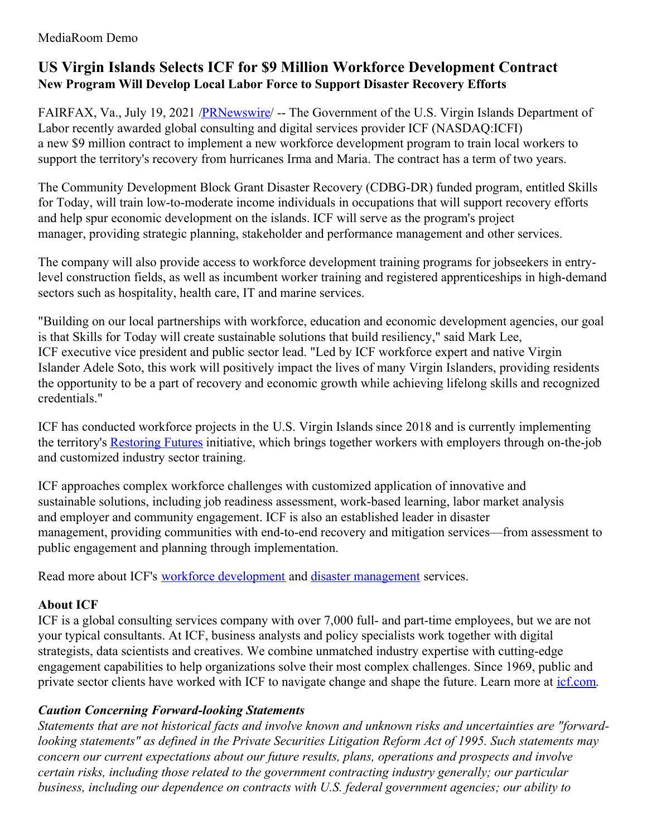#### MediaRoom Demo

# **US Virgin Islands Selects ICF for \$9 Million Workforce Development Contract New Program Will Develop Local Labor Force to Support Disaster Recovery Efforts**

FAIRFAX, Va., July 19, 2021 [/PRNewswire](http://www.prnewswire.com/)/ -- The Government of the U.S. Virgin Islands Department of Labor recently awarded global consulting and digital services provider ICF (NASDAQ:ICFI) a new \$9 million contract to implement a new workforce development program to train local workers to support the territory's recovery from hurricanes Irma and Maria. The contract has a term of two years.

The Community Development Block Grant Disaster Recovery (CDBG-DR) funded program, entitled Skills for Today, will train low-to-moderate income individuals in occupations that will support recovery efforts and help spur economic development on the islands. ICF will serve as the program's project manager, providing strategic planning, stakeholder and performance management and other services.

The company will also provide access to workforce development training programs for jobseekers in entrylevel construction fields, as well as incumbent worker training and registered apprenticeships in high-demand sectors such as hospitality, health care, IT and marine services.

"Building on our local partnerships with workforce, education and economic development agencies, our goal is that Skills for Today will create sustainable solutions that build resiliency," said Mark Lee, ICF executive vice president and public sector lead. "Led by ICF workforce expert and native Virgin Islander Adele Soto, this work will positively impact the lives of many Virgin Islanders, providing residents the opportunity to be a part of recovery and economic growth while achieving lifelong skills and recognized credentials."

ICF has conducted workforce projects in the U.S. Virgin Islands since 2018 and is currently implementing the territory's [Restoring](https://c212.net/c/link/?t=0&l=en&o=3232246-1&h=1470069658&u=https%3A%2F%2Fwww.vidol.gov%2Fnews%2Frestoring-futures-initiative%2F&a=Restoring+Futures) Futures initiative, which brings together workers with employers through on-the-job and customized industry sector training.

ICF approaches complex workforce challenges with customized application of innovative and sustainable solutions, including job readiness assessment, work-based learning, labor market analysis and employer and community engagement. ICF is also an established leader in disaster management, providing communities with end-to-end recovery and mitigation services—from assessment to public engagement and planning through implementation.

Read more about ICF's workforce [development](https://c212.net/c/link/?t=0&l=en&o=3232246-1&h=3339104062&u=https%3A%2F%2Fwww.icf.com%2Fwork%2Fdisaster-management%2Feconomic-workforce-development&a=workforce+development) and disaster [management](https://c212.net/c/link/?t=0&l=en&o=3232246-1&h=1141459999&u=https%3A%2F%2Fwww.icf.com%2Fwork%2Fdisaster-management&a=disaster+management) services.

### **About ICF**

ICF is a global consulting services company with over 7,000 full- and part-time employees, but we are not your typical consultants. At ICF, business analysts and policy specialists work together with digital strategists, data scientists and creatives. We combine unmatched industry expertise with cutting-edge engagement capabilities to help organizations solve their most complex challenges. Since 1969, public and private sector clients have worked with ICF to navigate change and shape the future. Learn more at *[icf.com](https://c212.net/c/link/?t=0&l=en&o=3232246-1&h=853512733&u=https%3A%2F%2Fwww.icf.com%2F&a=icf.com)*.

## *Caution Concerning Forward-looking Statements*

*Statements that are not historical facts and involve known and unknown risks and uncertainties are "forwardlooking statements" as defined in the Private Securities Litigation Reform Act of 1995. Such statements may concern our current expectations about our future results, plans, operations and prospects and involve certain risks, including those related to the government contracting industry generally; our particular business, including our dependence on contracts with U.S. federal government agencies; our ability to*